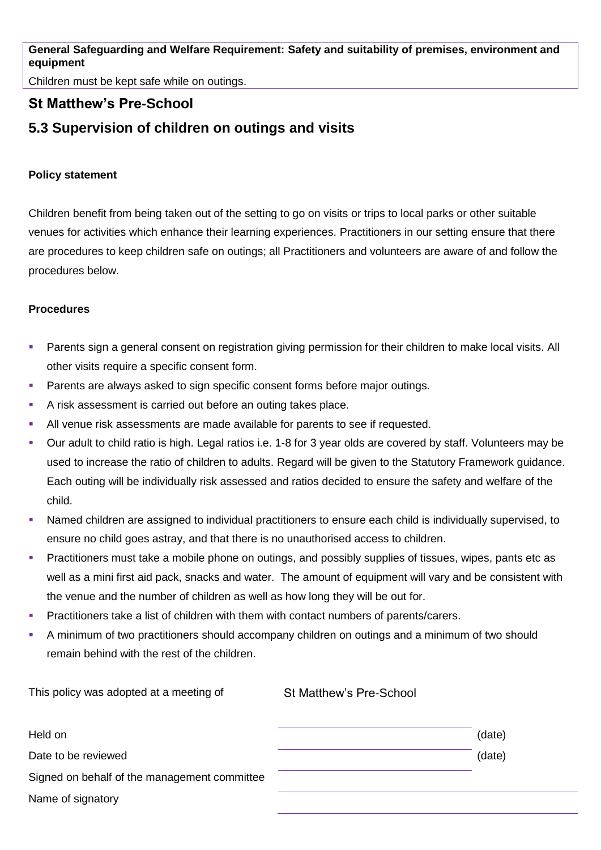**General Safeguarding and Welfare Requirement: Safety and suitability of premises, environment and equipment**

Children must be kept safe while on outings.

## **St Matthew's Pre-School**

## **5.3 Supervision of children on outings and visits**

## **Policy statement**

Children benefit from being taken out of the setting to go on visits or trips to local parks or other suitable venues for activities which enhance their learning experiences. Practitioners in our setting ensure that there are procedures to keep children safe on outings; all Practitioners and volunteers are aware of and follow the procedures below.

## **Procedures**

- **•** Parents sign a general consent on registration giving permission for their children to make local visits. All other visits require a specific consent form.
- Parents are always asked to sign specific consent forms before major outings.
- A risk assessment is carried out before an outing takes place.
- **EXECT** All venue risk assessments are made available for parents to see if requested.
- Our adult to child ratio is high. Legal ratios i.e. 1-8 for 3 year olds are covered by staff. Volunteers may be used to increase the ratio of children to adults. Regard will be given to the Statutory Framework guidance. Each outing will be individually risk assessed and ratios decided to ensure the safety and welfare of the child.
- Named children are assigned to individual practitioners to ensure each child is individually supervised, to ensure no child goes astray, and that there is no unauthorised access to children.
- Practitioners must take a mobile phone on outings, and possibly supplies of tissues, wipes, pants etc as well as a mini first aid pack, snacks and water. The amount of equipment will vary and be consistent with the venue and the number of children as well as how long they will be out for.
- Practitioners take a list of children with them with contact numbers of parents/carers.
- A minimum of two practitioners should accompany children on outings and a minimum of two should remain behind with the rest of the children.

| This policy was adopted at a meeting of      | St Matthew's Pre-School |        |
|----------------------------------------------|-------------------------|--------|
| Held on                                      |                         | (date) |
| Date to be reviewed                          |                         | (date) |
| Signed on behalf of the management committee |                         |        |
| Name of signatory                            |                         |        |
|                                              |                         |        |